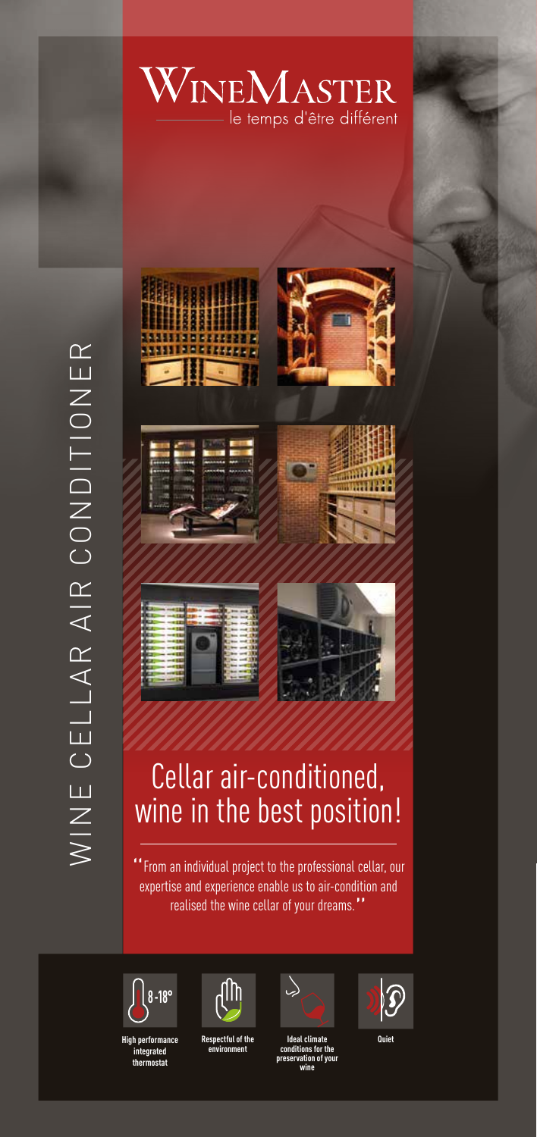









# Cellar air-conditioned, wine in the best position!

" From an individual project to the professional cellar, our expertise and experience enable us to air-condition and realised the wine cellar of your dreams."



**High performance integrated thermostat**



**Respectful of the environment**



**Ideal climate conditions for the preservation of your wine**



**Quiet**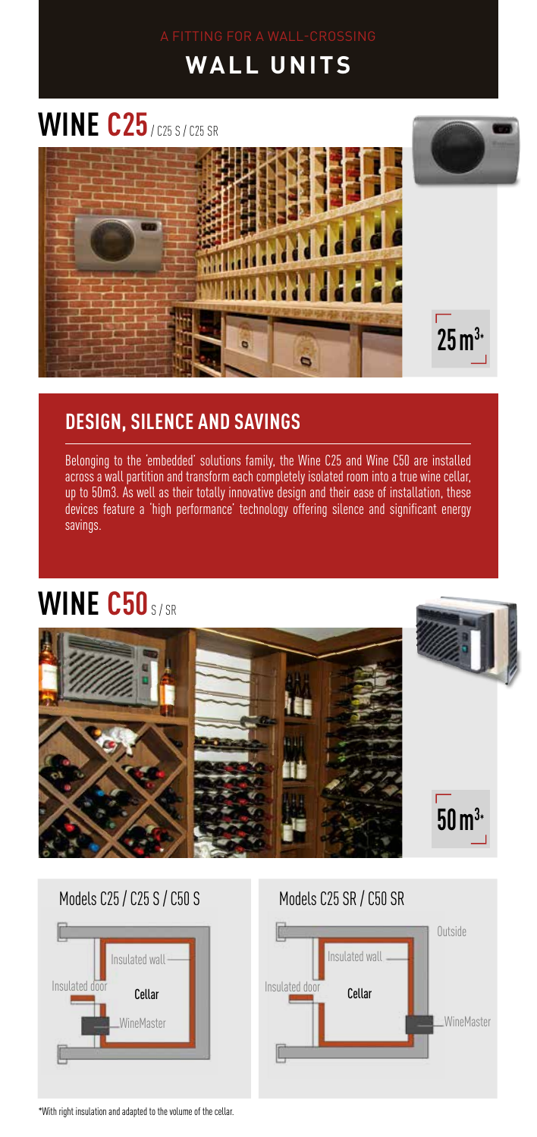## **WALL UNITS**

# **WINE C25** / C25 S / C25 SR



#### **DESIGN, SILENCE AND SAVINGS**

Belonging to the 'embedded' solutions family, the Wine C25 and Wine C50 are installed across a wall partition and transform each completely isolated room into a true wine cellar, up to 50m3. As well as their totally innovative design and their ease of installation, these devices feature a 'high performance' technology offering silence and significant energy savings.

## **WINE C50** S/SR







\*With right insulation and adapted to the volume of the cellar.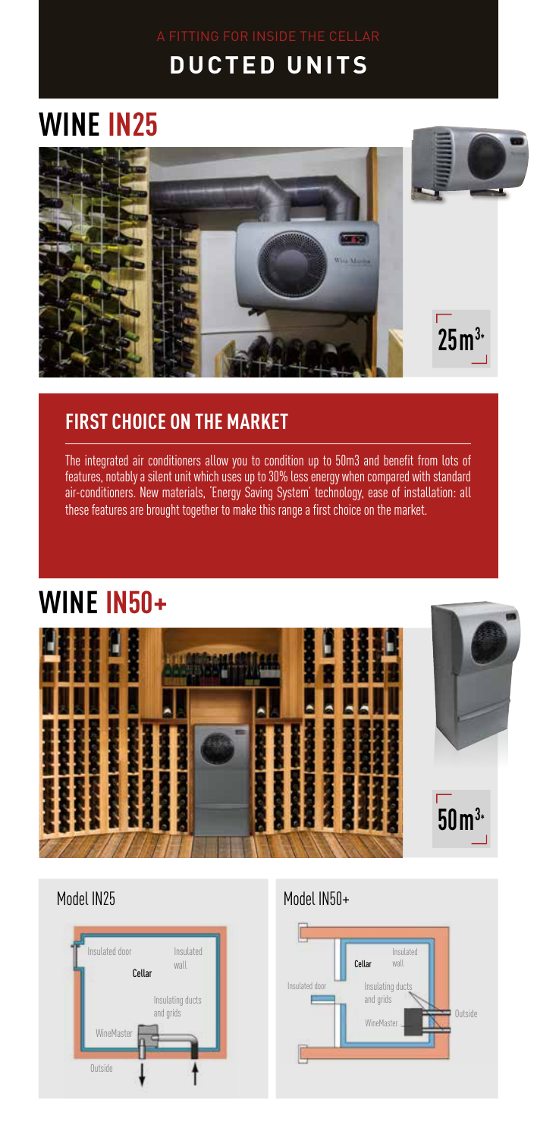#### **DUCTED UNITS**

# **WINE IN25**





#### **FIRST CHOICE ON THE MARKET**

The integrated air conditioners allow you to condition up to 50m3 and benefit from lots of features, notably a silent unit which uses up to 30% less energy when compared with standard air-conditioners. New materials, 'Energy Saving System' technology, ease of installation: all these features are brought together to make this range a first choice on the market.

#### **WINE IN50+**





#### Model IN25 Model IN50+

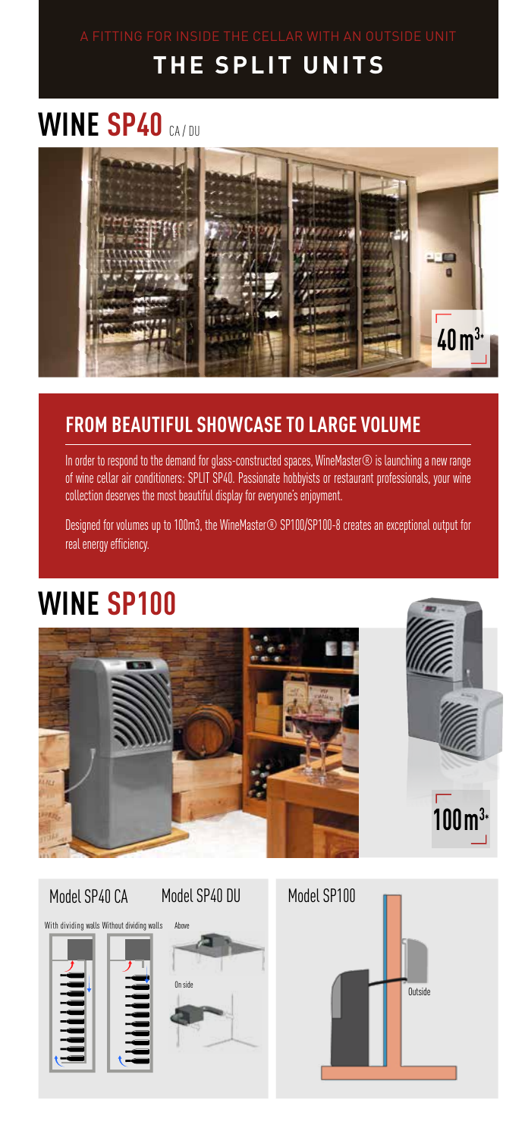## **THE SPLIT UNITS**

# **WINE SP40 CA/DU**



#### **FROM BEAUTIFUL SHOWCASE TO LARGE VOLUME**

In order to respond to the demand for glass-constructed spaces, WineMaster® is launching a new range of wine cellar air conditioners: SPLIT SP40. Passionate hobbyists or restaurant professionals, your wine collection deserves the most beautiful display for everyone's enjoyment.

Designed for volumes up to 100m3, the WineMaster® SP100/SP100-8 creates an exceptional output for real energy efficiency.

## **WINE SP100**





# With dividing walls Without dividing walls



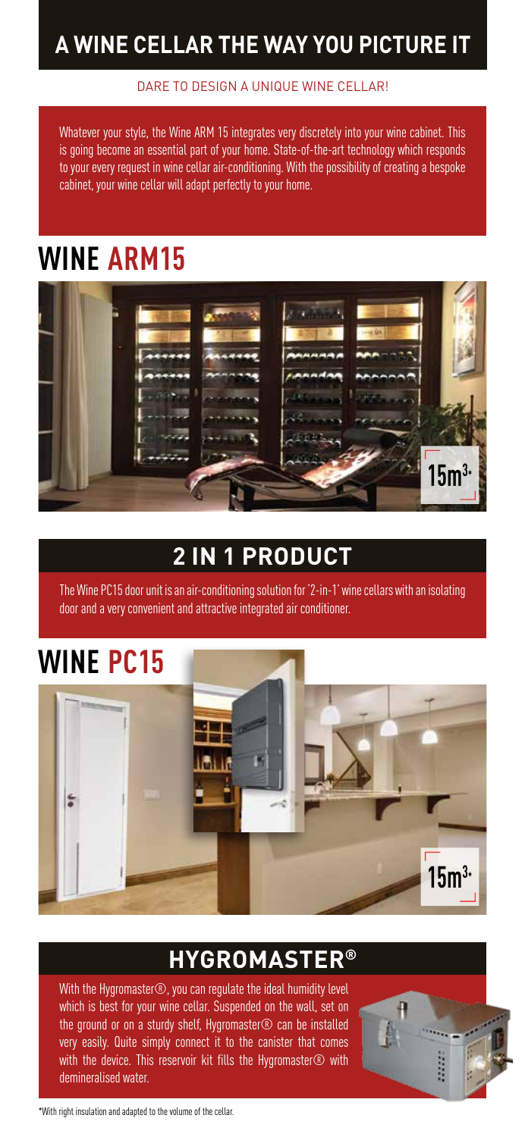#### **A WINE CELLAR THE WAY YOU PICTURE IT**

#### DARE TO DESIGN A UNIQUE WINE CELLAR!

Whatever your style, the Wine ARM 15 integrates very discretely into your wine cabinet. This is going become an essential part of your home. State-of-the-art technology which responds to your every request in wine cellar air-conditioning. With the possibility of creating a bespoke cabinet, your wine cellar will adapt perfectly to your home.

## **WINE ARM15**



#### **2 IN 1 PRODUCT**

The Wine PC15 door unit is an air-conditioning solution for '2-in-1' wine cellars with an isolating door and a very convenient and attractive integrated air conditioner.

## **WINE PC15**



#### **HYGROMASTER®**

With the Hygromaster®, you can regulate the ideal humidity level which is best for your wine cellar. Suspended on the wall, set on the ground or on a sturdy shelf, Hygromaster $\circledR$  can be installed very easily. Quite simply connect it to the canister that comes with the device. This reservoir kit fills the Hygromaster® with demineralised water.